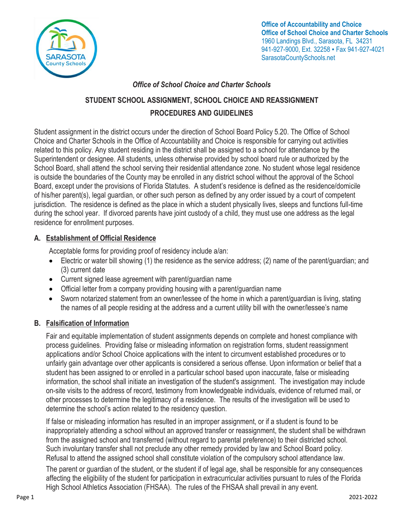

**Office of Accountability and Choice Office of School Choice and Charter Schools** 1960 Landings Blvd., Sarasota, FL 34231 941-927-9000, Ext. 32258 · Fax 941-927-4021 SarasotaCountySchools.net

# *Office of School Choice and Charter Schools*

# **STUDENT SCHOOL ASSIGNMENT, SCHOOL CHOICE AND REASSIGNMENT PROCEDURES AND GUIDELINES**

Student assignment in the district occurs under the direction of School Board Policy 5.20. The Office of School Choice and Charter Schools in the Office of Accountability and Choice is responsible for carrying out activities related to this policy. Any student residing in the district shall be assigned to a school for attendance by the Superintendent or designee. All students, unless otherwise provided by school board rule or authorized by the School Board, shall attend the school serving their residential attendance zone. No student whose legal residence is outside the boundaries of the County may be enrolled in any district school without the approval of the School Board, except under the provisions of Florida Statutes. A student's residence is defined as the residence/domicile of his/her parent(s), legal guardian, or other such person as defined by any order issued by a court of competent jurisdiction. The residence is defined as the place in which a student physically lives, sleeps and functions full-time during the school year. If divorced parents have joint custody of a child, they must use one address as the legal residence for enrollment purposes.

# **A. Establishment of Official Residence**

Acceptable forms for providing proof of residency include a/an:

- Electric or water bill showing (1) the residence as the service address; (2) name of the parent/guardian; and (3) current date
- Current signed lease agreement with parent/guardian name
- Official letter from a company providing housing with a parent/guardian name
- Sworn notarized statement from an owner/lessee of the home in which a parent/guardian is living, stating the names of all people residing at the address and a current utility bill with the owner/lessee's name

# **B. Falsification of Information**

Fair and equitable implementation of student assignments depends on complete and honest compliance with process guidelines. Providing false or misleading information on registration forms, student reassignment applications and/or School Choice applications with the intent to circumvent established procedures or to unfairly gain advantage over other applicants is considered a serious offense. Upon information or belief that a student has been assigned to or enrolled in a particular school based upon inaccurate, false or misleading information, the school shall initiate an investigation of the student's assignment. The investigation may include on-site visits to the address of record, testimony from knowledgeable individuals, evidence of returned mail, or other processes to determine the legitimacy of a residence. The results of the investigation will be used to determine the school's action related to the residency question.

If false or misleading information has resulted in an improper assignment, or if a student is found to be inappropriately attending a school without an approved transfer or reassignment, the student shall be withdrawn from the assigned school and transferred (without regard to parental preference) to their districted school. Such involuntary transfer shall not preclude any other remedy provided by law and School Board policy. Refusal to attend the assigned school shall constitute violation of the compulsory school attendance law.

The parent or guardian of the student, or the student if of legal age, shall be responsible for any consequences affecting the eligibility of the student for participation in extracurricular activities pursuant to rules of the Florida High School Athletics Association (FHSAA). The rules of the FHSAA shall prevail in any event.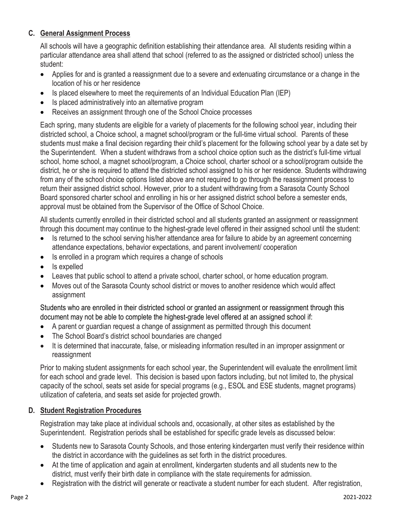# **C. General Assignment Process**

All schools will have a geographic definition establishing their attendance area. All students residing within a particular attendance area shall attend that school (referred to as the assigned or districted school) unless the student:

- Applies for and is granted a reassignment due to a severe and extenuating circumstance or a change in the location of his or her residence
- Is placed elsewhere to meet the requirements of an Individual Education Plan (IEP)
- Is placed administratively into an alternative program
- Receives an assignment through one of the School Choice processes

Each spring, many students are eligible for a variety of placements for the following school year, including their districted school, a Choice school, a magnet school/program or the full-time virtual school. Parents of these students must make a final decision regarding their child's placement for the following school year by a date set by the Superintendent. When a student withdraws from a school choice option such as the district's full-time virtual school, home school, a magnet school/program, a Choice school, charter school or a school/program outside the district, he or she is required to attend the districted school assigned to his or her residence. Students withdrawing from any of the school choice options listed above are not required to go through the reassignment process to return their assigned district school. However, prior to a student withdrawing from a Sarasota County School Board sponsored charter school and enrolling in his or her assigned district school before a semester ends, approval must be obtained from the Supervisor of the Office of School Choice.

All students currently enrolled in their districted school and all students granted an assignment or reassignment through this document may continue to the highest-grade level offered in their assigned school until the student:

- Is returned to the school serving his/her attendance area for failure to abide by an agreement concerning attendance expectations, behavior expectations, and parent involvement/ cooperation
- Is enrolled in a program which requires a change of schools
- Is expelled
- Leaves that public school to attend a private school, charter school, or home education program.
- Moves out of the Sarasota County school district or moves to another residence which would affect assignment

Students who are enrolled in their districted school or granted an assignment or reassignment through this document may not be able to complete the highest-grade level offered at an assigned school if:

- A parent or guardian request a change of assignment as permitted through this document
- The School Board's district school boundaries are changed
- It is determined that inaccurate, false, or misleading information resulted in an improper assignment or reassignment

Prior to making student assignments for each school year, the Superintendent will evaluate the enrollment limit for each school and grade level. This decision is based upon factors including, but not limited to, the physical capacity of the school, seats set aside for special programs (e.g., ESOL and ESE students, magnet programs) utilization of cafeteria, and seats set aside for projected growth.

# **D. Student Registration Procedures**

Registration may take place at individual schools and, occasionally, at other sites as established by the Superintendent. Registration periods shall be established for specific grade levels as discussed below:

- Students new to Sarasota County Schools, and those entering kindergarten must verify their residence within the district in accordance with the guidelines as set forth in the district procedures.
- At the time of application and again at enrollment, kindergarten students and all students new to the district, must verify their birth date in compliance with the state requirements for admission.
- Registration with the district will generate or reactivate a student number for each student. After registration,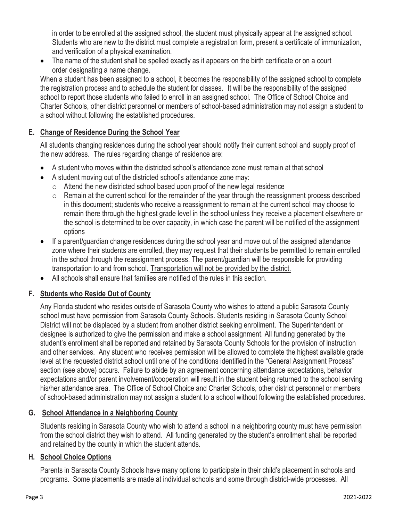in order to be enrolled at the assigned school, the student must physically appear at the assigned school. Students who are new to the district must complete a registration form, present a certificate of immunization, and verification of a physical examination.

The name of the student shall be spelled exactly as it appears on the birth certificate or on a court order designating a name change.

When a student has been assigned to a school, it becomes the responsibility of the assigned school to complete the registration process and to schedule the student for classes. It will be the responsibility of the assigned school to report those students who failed to enroll in an assigned school. The Office of School Choice and Charter Schools, other district personnel or members of school-based administration may not assign a student to a school without following the established procedures.

# **E. Change of Residence During the School Year**

All students changing residences during the school year should notify their current school and supply proof of the new address. The rules regarding change of residence are:

- A student who moves within the districted school's attendance zone must remain at that school
- A student moving out of the districted school's attendance zone may:
	- o Attend the new districted school based upon proof of the new legal residence
	- o Remain at the current school for the remainder of the year through the reassignment process described in this document; students who receive a reassignment to remain at the current school may choose to remain there through the highest grade level in the school unless they receive a placement elsewhere or the school is determined to be over capacity, in which case the parent will be notified of the assignment options
- If a parent/guardian change residences during the school year and move out of the assigned attendance zone where their students are enrolled, they may request that their students be permitted to remain enrolled in the school through the reassignment process. The parent/guardian will be responsible for providing transportation to and from school. Transportation will not be provided by the district.
- All schools shall ensure that families are notified of the rules in this section.

# **F. Students who Reside Out of County**

Any Florida student who resides outside of Sarasota County who wishes to attend a public Sarasota County school must have permission from Sarasota County Schools. Students residing in Sarasota County School District will not be displaced by a student from another district seeking enrollment. The Superintendent or designee is authorized to give the permission and make a school assignment. All funding generated by the student's enrollment shall be reported and retained by Sarasota County Schools for the provision of instruction and other services. Any student who receives permission will be allowed to complete the highest available grade level at the requested district school until one of the conditions identified in the "General Assignment Process" section (see above) occurs. Failure to abide by an agreement concerning attendance expectations, behavior expectations and/or parent involvement/cooperation will result in the student being returned to the school serving his/her attendance area. The Office of School Choice and Charter Schools, other district personnel or members of school-based administration may not assign a student to a school without following the established procedures.

# **G. School Attendance in a Neighboring County**

Students residing in Sarasota County who wish to attend a school in a neighboring county must have permission from the school district they wish to attend. All funding generated by the student's enrollment shall be reported and retained by the county in which the student attends.

#### **H. School Choice Options**

Parents in Sarasota County Schools have many options to participate in their child's placement in schools and programs. Some placements are made at individual schools and some through district-wide processes. All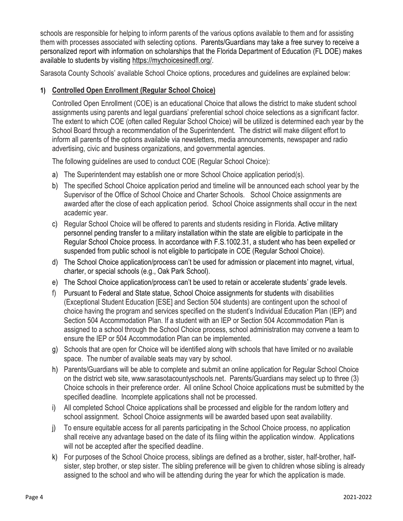schools are responsible for helping to inform parents of the various options available to them and for assisting them with processes associated with selecting options. Parents/Guardians may take a free survey to receive a personalized report with information on scholarships that the Florida Department of Education (FL DOE) makes available to students by visiting [https://mychoicesinedfl.org/.](https://mychoicesinedfl.org/)

Sarasota County Schools' available School Choice options, procedures and guidelines are explained below:

# **1) Controlled Open Enrollment (Regular School Choice)**

Controlled Open Enrollment (COE) is an educational Choice that allows the district to make student school assignments using parents and legal guardians' preferential school choice selections as a significant factor. The extent to which COE (often called Regular School Choice) will be utilized is determined each year by the School Board through a recommendation of the Superintendent. The district will make diligent effort to inform all parents of the options available via newsletters, media announcements, newspaper and radio advertising, civic and business organizations, and governmental agencies.

The following guidelines are used to conduct COE (Regular School Choice):

- a) The Superintendent may establish one or more School Choice application period(s).
- b) The specified School Choice application period and timeline will be announced each school year by the Supervisor of the Office of School Choice and Charter Schools. School Choice assignments are awarded after the close of each application period. School Choice assignments shall occur in the next academic year.
- c) Regular School Choice will be offered to parents and students residing in Florida. Active military personnel pending transfer to a military installation within the state are eligible to participate in the Regular School Choice process. In accordance with F.S.1002.31, a student who has been expelled or suspended from public school is not eligible to participate in COE (Regular School Choice).
- d) The School Choice application/process can't be used for admission or placement into magnet, virtual, charter, or special schools (e.g., Oak Park School).
- e) The School Choice application/process can't be used to retain or accelerate students' grade levels.
- f) Pursuant to Federal and State statue, School Choice assignments for students with disabilities (Exceptional Student Education [ESE] and Section 504 students) are contingent upon the school of choice having the program and services specified on the student's Individual Education Plan (IEP) and Section 504 Accommodation Plan. If a student with an IEP or Section 504 Accommodation Plan is assigned to a school through the School Choice process, school administration may convene a team to ensure the IEP or 504 Accommodation Plan can be implemented.
- g) Schools that are open for Choice will be identified along with schools that have limited or no available space. The number of available seats may vary by school.
- h) Parents/Guardians will be able to complete and submit an online application for Regular School Choice on the district web site, www.sarasotacountyschools.net. Parents/Guardians may select up to three (3) Choice schools in their preference order. All online School Choice applications must be submitted by the specified deadline. Incomplete applications shall not be processed.
- i) All completed School Choice applications shall be processed and eligible for the random lottery and school assignment. School Choice assignments will be awarded based upon seat availability.
- j) To ensure equitable access for all parents participating in the School Choice process, no application shall receive any advantage based on the date of its filing within the application window. Applications will not be accepted after the specified deadline.
- k) For purposes of the School Choice process, siblings are defined as a brother, sister, half-brother, halfsister, step brother, or step sister. The sibling preference will be given to children whose sibling is already assigned to the school and who will be attending during the year for which the application is made.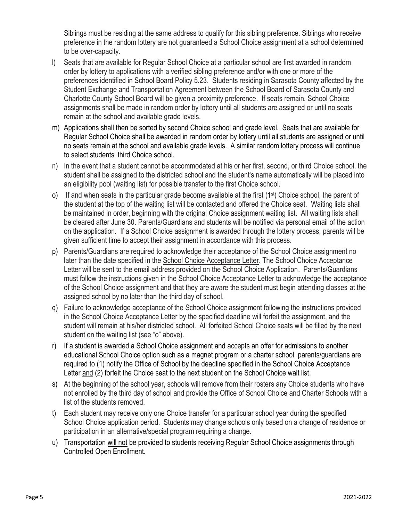Siblings must be residing at the same address to qualify for this sibling preference. Siblings who receive preference in the random lottery are not guaranteed a School Choice assignment at a school determined to be over-capacity.

- l) Seats that are available for Regular School Choice at a particular school are first awarded in random order by lottery to applications with a verified sibling preference and/or with one or more of the preferences identified in School Board Policy 5.23. Students residing in Sarasota County affected by the Student Exchange and Transportation Agreement between the School Board of Sarasota County and Charlotte County School Board will be given a proximity preference. If seats remain, School Choice assignments shall be made in random order by lottery until all students are assigned or until no seats remain at the school and available grade levels.
- m) Applications shall then be sorted by second Choice school and grade level. Seats that are available for Regular School Choice shall be awarded in random order by lottery until all students are assigned or until no seats remain at the school and available grade levels. A similar random lottery process will continue to select students' third Choice school.
- n) In the event that a student cannot be accommodated at his or her first, second, or third Choice school, the student shall be assigned to the districted school and the student's name automatically will be placed into an eligibility pool (waiting list) for possible transfer to the first Choice school.
- o) If and when seats in the particular grade become available at the first (1st) Choice school, the parent of the student at the top of the waiting list will be contacted and offered the Choice seat. Waiting lists shall be maintained in order, beginning with the original Choice assignment waiting list. All waiting lists shall be cleared after June 30. Parents/Guardians and students will be notified via personal email of the action on the application. If a School Choice assignment is awarded through the lottery process, parents will be given sufficient time to accept their assignment in accordance with this process.
- p) Parents/Guardians are required to acknowledge their acceptance of the School Choice assignment no later than the date specified in the School Choice Acceptance Letter. The School Choice Acceptance Letter will be sent to the email address provided on the School Choice Application. Parents/Guardians must follow the instructions given in the School Choice Acceptance Letter to acknowledge the acceptance of the School Choice assignment and that they are aware the student must begin attending classes at the assigned school by no later than the third day of school.
- q) Failure to acknowledge acceptance of the School Choice assignment following the instructions provided in the School Choice Acceptance Letter by the specified deadline will forfeit the assignment, and the student will remain at his/her districted school. All forfeited School Choice seats will be filled by the next student on the waiting list (see "o" above).
- r) If a student is awarded a School Choice assignment and accepts an offer for admissions to another educational School Choice option such as a magnet program or a charter school, parents/guardians are required to (1) notify the Office of School by the deadline specified in the School Choice Acceptance Letter and (2) forfeit the Choice seat to the next student on the School Choice wait list.
- s) At the beginning of the school year, schools will remove from their rosters any Choice students who have not enrolled by the third day of school and provide the Office of School Choice and Charter Schools with a list of the students removed.
- t) Each student may receive only one Choice transfer for a particular school year during the specified School Choice application period. Students may change schools only based on a change of residence or participation in an alternative/special program requiring a change.
- u) Transportation will not be provided to students receiving Regular School Choice assignments through Controlled Open Enrollment.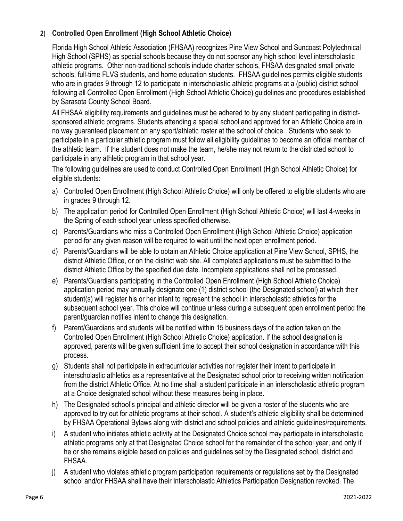# **2) Controlled Open Enrollment (High School Athletic Choice)**

Florida High School Athletic Association (FHSAA) recognizes Pine View School and Suncoast Polytechnical High School (SPHS) as special schools because they do not sponsor any high school level interscholastic athletic programs. Other non-traditional schools include charter schools, FHSAA designated small private schools, full-time FLVS students, and home education students. FHSAA guidelines permits eligible students who are in grades 9 through 12 to participate in interscholastic athletic programs at a (public) district school following all Controlled Open Enrollment (High School Athletic Choice) guidelines and procedures established by Sarasota County School Board.

All FHSAA eligibility requirements and guidelines must be adhered to by any student participating in districtsponsored athletic programs. Students attending a special school and approved for an Athletic Choice are in no way guaranteed placement on any sport/athletic roster at the school of choice. Students who seek to participate in a particular athletic program must follow all eligibility guidelines to become an official member of the athletic team. If the student does not make the team, he/she may not return to the districted school to participate in any athletic program in that school year.

The following guidelines are used to conduct Controlled Open Enrollment (High School Athletic Choice) for eligible students:

- a) Controlled Open Enrollment (High School Athletic Choice) will only be offered to eligible students who are in grades 9 through 12.
- b) The application period for Controlled Open Enrollment (High School Athletic Choice) will last 4-weeks in the Spring of each school year unless specified otherwise.
- c) Parents/Guardians who miss a Controlled Open Enrollment (High School Athletic Choice) application period for any given reason will be required to wait until the next open enrollment period.
- d) Parents/Guardians will be able to obtain an Athletic Choice application at Pine View School, SPHS, the district Athletic Office, or on the district web site. All completed applications must be submitted to the district Athletic Office by the specified due date. Incomplete applications shall not be processed.
- e) Parents/Guardians participating in the Controlled Open Enrollment (High School Athletic Choice) application period may annually designate one (1) district school (the Designated school) at which their student(s) will register his or her intent to represent the school in interscholastic athletics for the subsequent school year. This choice will continue unless during a subsequent open enrollment period the parent/guardian notifies intent to change this designation.
- f) Parent/Guardians and students will be notified within 15 business days of the action taken on the Controlled Open Enrollment (High School Athletic Choice) application. If the school designation is approved, parents will be given sufficient time to accept their school designation in accordance with this process.
- g) Students shall not participate in extracurricular activities nor register their intent to participate in interscholastic athletics as a representative at the Designated school prior to receiving written notification from the district Athletic Office. At no time shall a student participate in an interscholastic athletic program at a Choice designated school without these measures being in place.
- h) The Designated school's principal and athletic director will be given a roster of the students who are approved to try out for athletic programs at their school. A student's athletic eligibility shall be determined by FHSAA Operational Bylaws along with district and school policies and athletic guidelines/requirements.
- i) A student who initiates athletic activity at the Designated Choice school may participate in interscholastic athletic programs only at that Designated Choice school for the remainder of the school year, and only if he or she remains eligible based on policies and guidelines set by the Designated school, district and FHSAA.
- j) A student who violates athletic program participation requirements or regulations set by the Designated school and/or FHSAA shall have their Interscholastic Athletics Participation Designation revoked. The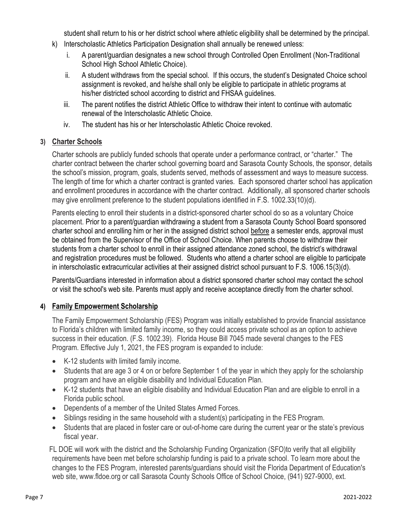student shall return to his or her district school where athletic eligibility shall be determined by the principal.

- k) Interscholastic Athletics Participation Designation shall annually be renewed unless:
	- i. A parent/guardian designates a new school through Controlled Open Enrollment (Non-Traditional School High School Athletic Choice).
	- ii. A student withdraws from the special school. If this occurs, the student's Designated Choice school assignment is revoked, and he/she shall only be eligible to participate in athletic programs at his/her districted school according to district and FHSAA guidelines.
	- iii. The parent notifies the district Athletic Office to withdraw their intent to continue with automatic renewal of the Interscholastic Athletic Choice.
	- iv. The student has his or her Interscholastic Athletic Choice revoked.

# **3) Charter Schools**

Charter schools are publicly funded schools that operate under a performance contract, or "charter." The charter contract between the charter school governing board and Sarasota County Schools, the sponsor, details the school's mission, program, goals, students served, methods of assessment and ways to measure success. The length of time for which a charter contract is granted varies. Each sponsored charter school has application and enrollment procedures in accordance with the charter contract. Additionally, all sponsored charter schools may give enrollment preference to the student populations identified in F.S. 1002.33(10)(d).

Parents electing to enroll their students in a district-sponsored charter school do so as a voluntary Choice placement. Prior to a parent/guardian withdrawing a student from a Sarasota County School Board sponsored charter school and enrolling him or her in the assigned district school before a semester ends, approval must be obtained from the Supervisor of the Office of School Choice. When parents choose to withdraw their students from a charter school to enroll in their assigned attendance zoned school, the district's withdrawal and registration procedures must be followed. Students who attend a charter school are eligible to participate in interscholastic extracurricular activities at their assigned district school pursuant to F.S. 1006.15(3)(d).

Parents/Guardians interested in information about a district sponsored charter school may contact the school or visit the school's web site. Parents must apply and receive acceptance directly from the charter school.

# **4) Family Empowerment Scholarship**

The Family Empowerment Scholarship (FES) Program was initially established to provide financial assistance to Florida's children with limited family income, so they could access private school as an option to achieve success in their education. (F.S. 1002.39). Florida House Bill 7045 made several changes to the FES Program. Effective July 1, 2021, the FES program is expanded to include:

- K-12 students with limited family income.
- Students that are age 3 or 4 on or before September 1 of the year in which they apply for the scholarship program and have an eligible disability and Individual Education Plan.
- K-12 students that have an eligible disability and Individual Education Plan and are eligible to enroll in a Florida public school.
- Dependents of a member of the United States Armed Forces.
- Siblings residing in the same household with a student(s) participating in the FES Program.
- Students that are placed in foster care or out-of-home care during the current year or the state's previous fiscal year.

FL DOE will work with the district and the Scholarship Funding Organization (SFO)to verify that all eligibility requirements have been met before scholarship funding is paid to a private school. To learn more about the changes to the FES Program, interested parents/guardians should visit the Florida Department of Education's web site, www.fldoe.org or call Sarasota County Schools Office of School Choice, (941) 927-9000, ext.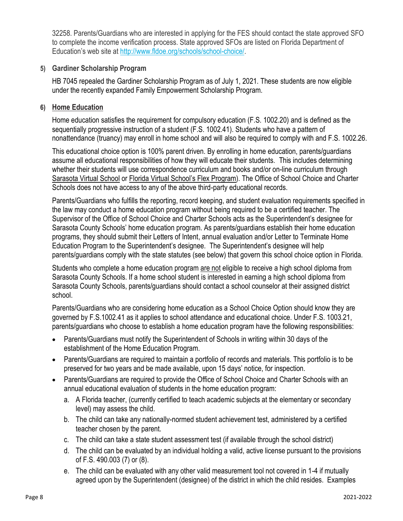32258. Parents/Guardians who are interested in applying for the FES should contact the state approved SFO to complete the income verification process. State approved SFOs are listed on Florida Department of Education's web site at [http://www.fldoe.org/schools/school-choice/.](http://www.fldoe.org/schools/school-choice/)

#### **5) Gardiner Scholarship Program**

HB 7045 repealed the Gardiner Scholarship Program as of July 1, 2021. These students are now eligible under the recently expanded Family Empowerment Scholarship Program.

#### **6) Home Education**

Home education satisfies the requirement for compulsory education (F.S. 1002.20) and is defined as the sequentially progressive instruction of a student (F.S. 1002.41). Students who have a pattern of nonattendance (truancy) may enroll in home school and will also be required to comply with and F.S. 1002.26.

This educational choice option is 100% parent driven. By enrolling in home education, parents/guardians assume all educational responsibilities of how they will educate their students. This includes determining whether their students will use correspondence curriculum and books and/or on-line curriculum through [Sarasota Virtual School](https://www.sarasotavirtual.com/) or [Florida Virtual School](http://www.flvs.net/)'s Flex Program). The Office of School Choice and Charter Schools does not have access to any of the above third-party educational records.

Parents/Guardians who fulfills the reporting, record keeping, and student evaluation requirements specified in the law may conduct a home education program without being required to be a certified teacher. The Supervisor of the Office of School Choice and Charter Schools acts as the Superintendent's designee for Sarasota County Schools' home education program. As parents/guardians establish their home education programs, they should submit their Letters of Intent, annual evaluation and/or Letter to Terminate Home Education Program to the Superintendent's designee. The Superintendent's designee will help parents/guardians comply with the state statutes (see below) that govern this school choice option in Florida.

Students who complete a home education program are not eligible to receive a high school diploma from Sarasota County Schools. If a home school student is interested in earning a high school diploma from Sarasota County Schools, parents/guardians should contact a school counselor at their assigned district school.

Parents/Guardians who are considering home education as a School Choice Option should know they are governed by F.S.1002.41 as it applies to school attendance and educational choice. Under F.S. 1003.21, parents/guardians who choose to establish a home education program have the following responsibilities:

- Parents/Guardians must notify the Superintendent of Schools in writing within 30 days of the establishment of the Home Education Program.
- Parents/Guardians are required to maintain a portfolio of records and materials. This portfolio is to be preserved for two years and be made available, upon 15 days' notice, for inspection.
- Parents/Guardians are required to provide the Office of School Choice and Charter Schools with an annual educational evaluation of students in the home education program:
	- a. A Florida teacher, (currently certified to teach academic subjects at the elementary or secondary level) may assess the child.
	- b. The child can take any nationally-normed student achievement test, administered by a certified teacher chosen by the parent.
	- c. The child can take a state student assessment test (if available through the school district)
	- d. The child can be evaluated by an individual holding a valid, active license pursuant to the provisions of F.S. 490.003 (7) or (8).
	- e. The child can be evaluated with any other valid measurement tool not covered in 1-4 if mutually agreed upon by the Superintendent (designee) of the district in which the child resides. Examples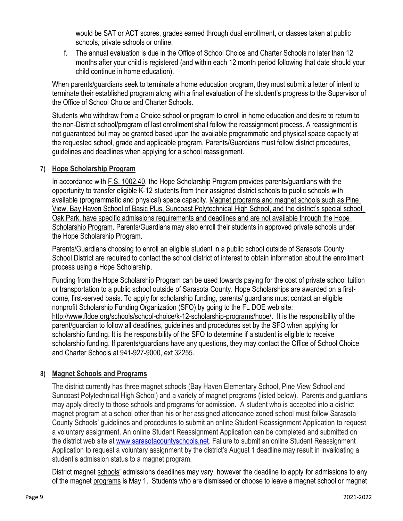would be SAT or ACT scores, grades earned through dual enrollment, or classes taken at public schools, private schools or online.

f. The annual evaluation is due in the Office of School Choice and Charter Schools no later than 12 months after your child is registered (and within each 12 month period following that date should your child continue in home education).

When parents/guardians seek to terminate a home education program, they must submit a letter of intent to terminate their established program along with a final evaluation of the student's progress to the Supervisor of the Office of School Choice and Charter Schools.

Students who withdraw from a Choice school or program to enroll in home education and desire to return to the non-District school/program of last enrollment shall follow the reassignment process. A reassignment is not guaranteed but may be granted based upon the available programmatic and physical space capacity at the requested school, grade and applicable program. Parents/Guardians must follow district procedures, guidelines and deadlines when applying for a school reassignment.

#### **7) Hope Scholarship Program**

In accordance with [F.S. 1002.40,](http://www.leg.state.fl.us/statutes/index.cfm?mode=View%20Statutes&SubMenu=1&App_mode=Display_Statute&Search_String=1002.40&URL=1000-1099/1002/Sections/1002.40.html) the Hope Scholarship Program provides parents/guardians with the opportunity to transfer eligible K-12 students from their assigned district schools to public schools with available (programmatic and physical) space capacity. Magnet programs and magnet schools such as Pine View, Bay Haven School of Basic Plus, Suncoast Polytechnical High School, and the district's special school, Oak Park, have specific admissions requirements and deadlines and are not available through the Hope Scholarship Program. Parents/Guardians may also enroll their students in approved private schools under the Hope Scholarship Program.

Parents/Guardians choosing to enroll an eligible student in a public school outside of Sarasota County School District are required to contact the school district of interest to obtain information about the enrollment process using a Hope Scholarship.

Funding from the Hope Scholarship Program can be used towards paying for the cost of private school tuition or transportation to a public school outside of Sarasota County. Hope Scholarships are awarded on a firstcome, first-served basis. To apply for scholarship funding, parents/ guardians must contact an eligible nonprofit Scholarship Funding Organization (SFO) by going to the FL DOE web site: [http://www.fldoe.org/schools/school-choice/k-12-scholarship-programs/hope/.](http://www.fldoe.org/schools/school-choice/k-12-scholarship-programs/hope/) It is the responsibility of the parent/guardian to follow all deadlines, guidelines and procedures set by the SFO when applying for scholarship funding. It is the responsibility of the SFO to determine if a student is eligible to receive scholarship funding. If parents/guardians have any questions, they may contact the Office of School Choice and Charter Schools at 941-927-9000, ext 32255.

#### **8) Magnet Schools and Programs**

The district currently has three magnet schools (Bay Haven Elementary School, Pine View School and Suncoast Polytechnical High School) and a variety of magnet programs (listed below). Parents and guardians may apply directly to those schools and programs for admission. A student who is accepted into a district magnet program at a school other than his or her assigned attendance zoned school must follow Sarasota County Schools' guidelines and procedures to submit an online Student Reassignment Application to request a voluntary assignment. An online Student Reassignment Application can be completed and submitted on the district web site at [www.sarasotacountyschools.net.](http://www.sarasotacountyschools.net/) Failure to submit an online Student Reassignment Application to request a voluntary assignment by the district's August 1 deadline may result in invalidating a student's admission status to a magnet program.

District magnet schools' admissions deadlines may vary, however the deadline to apply for admissions to any of the magnet programs is May 1. Students who are dismissed or choose to leave a magnet school or magnet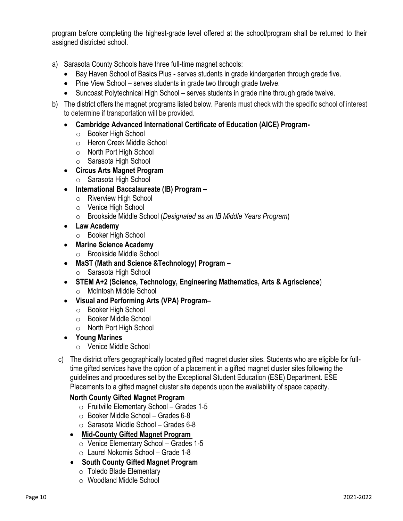program before completing the highest-grade level offered at the school/program shall be returned to their assigned districted school.

- a) Sarasota County Schools have three full-time magnet schools:
	- Bay Haven School of Basics Plus serves students in grade kindergarten through grade five.
	- Pine View School serves students in grade two through grade twelve.
	- Suncoast Polytechnical High School serves students in grade nine through grade twelve.
- b) The district offers the magnet programs listed below. Parents must check with the specific school of interest to determine if transportation will be provided.
	- **Cambridge Advanced International Certificate of Education (AICE) Program**
		- o Booker High School
		- o Heron Creek Middle School
		- o North Port High School
		- o Sarasota High School
	- **Circus Arts Magnet Program**
		- o Sarasota High School
	- **International Baccalaureate (IB) Program –**
		- o Riverview High School
		- o Venice High School
		- o Brookside Middle School (*Designated as an IB Middle Years Program*)
	- **Law Academy**
		- o Booker High School
	- **Marine Science Academy**
		- o Brookside Middle School
	- **MaST (Math and Science &Technology) Program –**
		- o Sarasota High School
	- **STEM A+2 (Science, Technology, Engineering Mathematics, Arts & Agriscience**) o McIntosh Middle School
	- **Visual and Performing Arts (VPA) Program–**
		- o Booker High School
		- o Booker Middle School
		- o North Port High School
	- **Young Marines**
		- o Venice Middle School
	- c) The district offers geographically located gifted magnet cluster sites. Students who are eligible for fulltime gifted services have the option of a placement in a gifted magnet cluster sites following the guidelines and procedures set by the Exceptional Student Education (ESE) Department. ESE Placements to a gifted magnet cluster site depends upon the availability of space capacity.

# **North County Gifted Magnet Program**

- $\circ$  Fruitville Elementary School Grades 1-5
- $\circ$  Booker Middle School Grades 6-8
- $\circ$  Sarasota Middle School Grades 6-8
- **Mid-County Gifted Magnet Program** 
	- o Venice Elementary School Grades 1-5
	- $\circ$  Laurel Nokomis School Grade 1-8
- **South County Gifted Magnet Program**
	- o Toledo Blade Elementary
	- o Woodland Middle School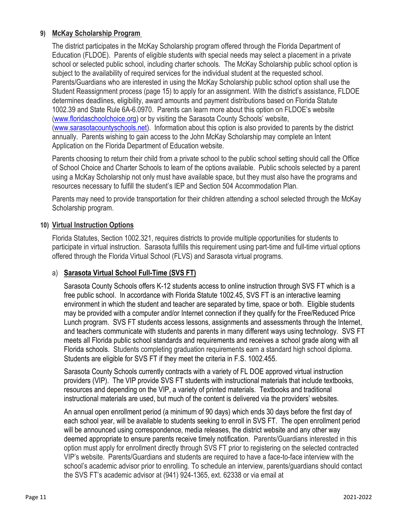### **9) McKay Scholarship Program**

The district participates in the McKay Scholarship program offered through the Florida Department of Education (FLDOE). Parents of eligible students with special needs may select a placement in a private school or selected public school, including charter schools. The McKay Scholarship public school option is subject to the availability of required services for the individual student at the requested school. Parents/Guardians who are interested in using the McKay Scholarship public school option shall use the Student Reassignment process (page 15) to apply for an assignment. With the district's assistance, FLDOE determines deadlines, eligibility, award amounts and payment distributions based on Florida Statute 1002.39 and State Rule 6A-6.0970. Parents can learn more about this option on FLDOE's website [\(www.floridaschoolchoice.org\)](http://www.floridaschoolchoice.org/) or by visiting the Sarasota County Schools' website, [\(www.sarasotacountyschools.net\)](http://www.sarasotacountyschools.net/). Information about this option is also provided to parents by the district annually. Parents wishing to gain access to the John McKay Scholarship may complete an Intent Application on the Florida Department of Education website.

Parents choosing to return their child from a private school to the public school setting should call the Office of School Choice and Charter Schools to learn of the options available. Public schools selected by a parent using a McKay Scholarship not only must have available space, but they must also have the programs and resources necessary to fulfill the student's IEP and Section 504 Accommodation Plan.

Parents may need to provide transportation for their children attending a school selected through the McKay Scholarship program.

### **10) Virtual Instruction Options**

Florida Statutes, Section 1002.321, requires districts to provide multiple opportunities for students to participate in virtual instruction. Sarasota fulfills this requirement using part-time and full-time virtual options offered through the Florida Virtual School (FLVS) and Sarasota virtual programs.

#### a) **Sarasota Virtual School Full-Time (SVS FT)**

Sarasota County Schools offers K-12 students access to online instruction through SVS FT which is a free public school. In accordance with Florida Statute 1002.45, SVS FT is an interactive learning environment in which the student and teacher are separated by time, space or both. Eligible students may be provided with a computer and/or Internet connection if they qualify for the Free/Reduced Price Lunch program. SVS FT students access lessons, assignments and assessments through the Internet, and teachers communicate with students and parents in many different ways using technology. SVS FT meets all Florida public school standards and requirements and receives a school grade along with all Florida schools. Students completing graduation requirements earn a standard high school diploma. Students are eligible for SVS FT if they meet the criteria in F.S. 1002.455.

Sarasota County Schools currently contracts with a variety of FL DOE approved virtual instruction providers (VIP). The VIP provide SVS FT students with instructional materials that include textbooks, resources and depending on the VIP, a variety of printed materials. Textbooks and traditional instructional materials are used, but much of the content is delivered via the providers' websites.

An annual open enrollment period (a minimum of 90 days) which ends 30 days before the first day of each school year, will be available to students seeking to enroll in SVS FT. The open enrollment period will be announced using correspondence, media releases, the district website and any other way deemed appropriate to ensure parents receive timely notification. Parents/Guardians interested in this option must apply for enrollment directly through SVS FT prior to registering on the selected contracted VIP's website. Parents/Guardians and students are required to have a face-to-face interview with the school's academic advisor prior to enrolling. To schedule an interview, parents/guardians should contact the SVS FT's academic advisor at (941) 924-1365, ext. 62338 or via email at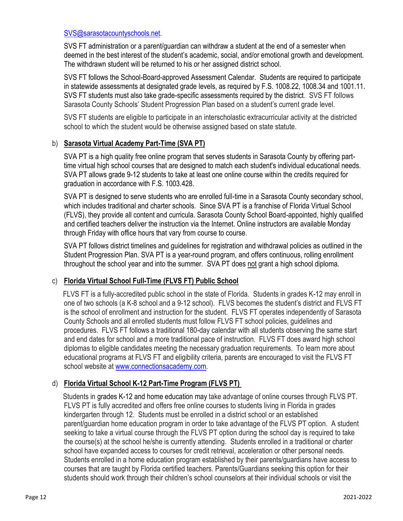#### [SVS@sarasotacountyschools.net.](mailto:SVS@sarasotacountyschools.net)

SVS FT administration or a parent/guardian can withdraw a student at the end of a semester when deemed in the best interest of the student's academic, social, and/or emotional growth and development. The withdrawn student will be returned to his or her assigned district school.

SVS FT follows the School-Board-approved Assessment Calendar. Students are required to participate in statewide assessments at designated grade levels, as required by F.S. 1008.22, 1008.34 and 1001.11. SVS FT students must also take grade-specific assessments required by the district. SVS FT follows Sarasota County Schools' Student Progression Plan based on a student's current grade level.

SVS FT students are eligible to participate in an interscholastic extracurricular activity at the districted school to which the student would be otherwise assigned based on state statute.

#### b) **Sarasota Virtual Academy Part-Time (SVA PT)**

SVA PT is a high quality free online program that serves students in Sarasota County by offering parttime virtual high school courses that are designed to match each student's individual educational needs. SVA PT allows grade 9-12 students to take at least one online course within the credits required for graduation in accordance with F.S. 1003.428.

SVA PT is designed to serve students who are enrolled full-time in a Sarasota County secondary school, which includes traditional and charter schools. Since SVA PT is a franchise of Florida Virtual School (FLVS), they provide all content and curricula. Sarasota County School Board-appointed, highly qualified and certified teachers deliver the instruction via the Internet. Online instructors are available Monday through Friday with office hours that vary from course to course.

SVA PT follows district timelines and guidelines for registration and withdrawal policies as outlined in the Student Progression Plan. SVA PT is a year-round program, and offers continuous, rolling enrollment throughout the school year and into the summer. SVA PT does not grant a high school diploma.

#### c) **Florida Virtual School Full-Time (FLVS FT) Public School**

FLVS FT is a fully-accredited public school in the state of Florida. Students in grades K-12 may enroll in one of two schools (a K-8 school and a 9-12 school). FLVS becomes the student's district and FLVS FT is the school of enrollment and instruction for the student. FLVS FT operates independently of Sarasota County Schools and all enrolled students must follow FLVS FT school policies, guidelines and procedures. FLVS FT follows a traditional 180-day calendar with all students observing the same start and end dates for school and a more traditional pace of instruction. FLVS FT does award high school diplomas to eligible candidates meeting the necessary graduation requirements. To learn more about educational programs at FLVS FT and eligibility criteria, parents are encouraged to visit the FLVS FT school website at [www.connectionsacademy.com.](http://www.connectionsacademy.com/)

#### d) **Florida Virtual School K-12 Part-Time Program (FLVS PT)**

Students in grades K-12 and home education may take advantage of online courses through FLVS PT. FLVS PT is fully accredited and offers free online courses to students living in Florida in grades kindergarten through 12. Students must be enrolled in a district school or an established parent/guardian home education program in order to take advantage of the FLVS PT option. A student seeking to take a virtual course through the FLVS PT option during the school day is required to take the course(s) at the school he/she is currently attending. Students enrolled in a traditional or charter school have expanded access to courses for credit retrieval, acceleration or other personal needs. Students enrolled in a home education program established by their parents/guardians have access to courses that are taught by Florida certified teachers. Parents/Guardians seeking this option for their students should work through their children's school counselors at their individual schools or visit the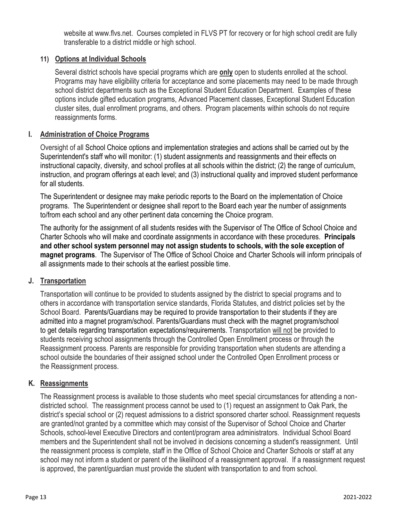website at www.flvs.net. Courses completed in FLVS PT for recovery or for high school credit are fully transferable to a district middle or high school.

### **11) Options at Individual Schools**

Several district schools have special programs which are **only** open to students enrolled at the school. Programs may have eligibility criteria for acceptance and some placements may need to be made through school district departments such as the Exceptional Student Education Department. Examples of these options include gifted education programs, Advanced Placement classes, Exceptional Student Education cluster sites, dual enrollment programs, and others. Program placements within schools do not require reassignments forms.

### **I. Administration of Choice Programs**

Oversight of all School Choice options and implementation strategies and actions shall be carried out by the Superintendent's staff who will monitor: (1) student assignments and reassignments and their effects on instructional capacity, diversity, and school profiles at all schools within the district; (2) the range of curriculum, instruction, and program offerings at each level; and (3) instructional quality and improved student performance for all students.

The Superintendent or designee may make periodic reports to the Board on the implementation of Choice programs. The Superintendent or designee shall report to the Board each year the number of assignments to/from each school and any other pertinent data concerning the Choice program.

The authority for the assignment of all students resides with the Supervisor of The Office of School Choice and Charter Schools who will make and coordinate assignments in accordance with these procedures. **Principals and other school system personnel may not assign students to schools, with the sole exception of magnet programs**. The Supervisor of The Office of School Choice and Charter Schools will inform principals of all assignments made to their schools at the earliest possible time.

#### **J. Transportation**

Transportation will continue to be provided to students assigned by the district to special programs and to others in accordance with transportation service standards, Florida Statutes, and district policies set by the School Board. Parents/Guardians may be required to provide transportation to their students if they are admitted into a magnet program/school. Parents/Guardians must check with the magnet program/school to get details regarding transportation expectations/requirements. Transportation will not be provided to students receiving school assignments through the Controlled Open Enrollment process or through the Reassignment process. Parents are responsible for providing transportation when students are attending a school outside the boundaries of their assigned school under the Controlled Open Enrollment process or the Reassignment process.

#### **K. Reassignments**

The Reassignment process is available to those students who meet special circumstances for attending a nondistricted school. The reassignment process cannot be used to (1) request an assignment to Oak Park, the district's special school or (2) request admissions to a district sponsored charter school. Reassignment requests are granted/not granted by a committee which may consist of the Supervisor of School Choice and Charter Schools, school-level Executive Directors and content/program area administrators. Individual School Board members and the Superintendent shall not be involved in decisions concerning a student's reassignment. Until the reassignment process is complete, staff in the Office of School Choice and Charter Schools or staff at any school may not inform a student or parent of the likelihood of a reassignment approval. If a reassignment request is approved, the parent/guardian must provide the student with transportation to and from school.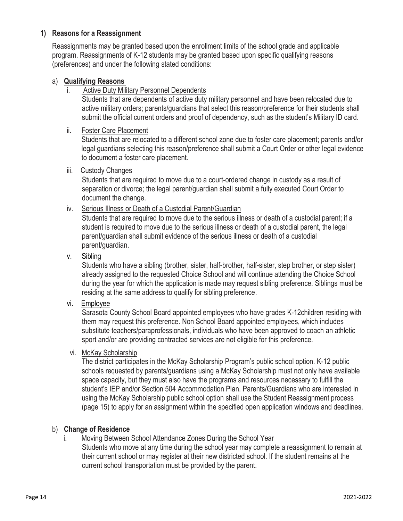### **1) Reasons for a Reassignment**

Reassignments may be granted based upon the enrollment limits of the school grade and applicable program. Reassignments of K-12 students may be granted based upon specific qualifying reasons (preferences) and under the following stated conditions:

### a) **Qualifying Reasons**

i. Active Duty Military Personnel Dependents

Students that are dependents of active duty military personnel and have been relocated due to active military orders; parents/guardians that select this reason/preference for their students shall submit the official current orders and proof of dependency, such as the student's Military ID card.

### ii. Foster Care Placement

Students that are relocated to a different school zone due to foster care placement; parents and/or legal guardians selecting this reason/preference shall submit a Court Order or other legal evidence to document a foster care placement.

#### iii. Custody Changes

Students that are required to move due to a court-ordered change in custody as a result of separation or divorce; the legal parent/guardian shall submit a fully executed Court Order to document the change.

### iv. Serious Illness or Death of a Custodial Parent/Guardian

Students that are required to move due to the serious illness or death of a custodial parent; if a student is required to move due to the serious illness or death of a custodial parent, the legal parent/guardian shall submit evidence of the serious illness or death of a custodial parent/guardian.

### v. Sibling

Students who have a sibling (brother, sister, half-brother, half-sister, step brother, or step sister) already assigned to the requested Choice School and will continue attending the Choice School during the year for which the application is made may request sibling preference. Siblings must be residing at the same address to qualify for sibling preference.

vi. Employee

Sarasota County School Board appointed employees who have grades K-12children residing with them may request this preference. Non School Board appointed employees, which includes substitute teachers/paraprofessionals, individuals who have been approved to coach an athletic sport and/or are providing contracted services are not eligible for this preference.

#### vi. McKay Scholarship

The district participates in the McKay Scholarship Program's public school option. K-12 public schools requested by parents/guardians using a McKay Scholarship must not only have available space capacity, but they must also have the programs and resources necessary to fulfill the student's IEP and/or Section 504 Accommodation Plan. Parents/Guardians who are interested in using the McKay Scholarship public school option shall use the Student Reassignment process (page 15) to apply for an assignment within the specified open application windows and deadlines.

#### b) **Change of Residence**

# Moving Between School Attendance Zones During the School Year

Students who move at any time during the school year may complete a reassignment to remain at their current school or may register at their new districted school. If the student remains at the current school transportation must be provided by the parent.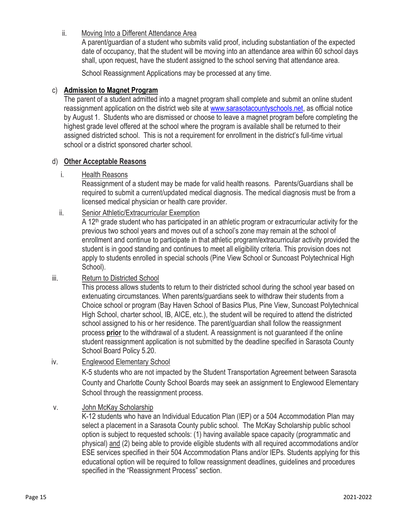ii. Moving Into a Different Attendance Area

A parent/guardian of a student who submits valid proof, including substantiation of the expected date of occupancy, that the student will be moving into an attendance area within 60 school days shall, upon request, have the student assigned to the school serving that attendance area.

School Reassignment Applications may be processed at any time.

### c) **Admission to Magnet Program**

The parent of a student admitted into a magnet program shall complete and submit an online student reassignment application on the district web site at [www.sarasotacountyschools.net,](http://www.sarasotacountyschools.net/) as official notice by August 1. Students who are dismissed or choose to leave a magnet program before completing the highest grade level offered at the school where the program is available shall be returned to their assigned districted school. This is not a requirement for enrollment in the district's full-time virtual school or a district sponsored charter school.

#### d) **Other Acceptable Reasons**

### i. Health Reasons

Reassignment of a student may be made for valid health reasons. Parents/Guardians shall be required to submit a current/updated medical diagnosis. The medical diagnosis must be from a licensed medical physician or health care provider.

### ii. Senior Athletic/Extracurricular Exemption

A 12<sup>th</sup> grade student who has participated in an athletic program or extracurricular activity for the previous two school years and moves out of a school's zone may remain at the school of enrollment and continue to participate in that athletic program/extracurricular activity provided the student is in good standing and continues to meet all eligibility criteria. This provision does not apply to students enrolled in special schools (Pine View School or Suncoast Polytechnical High School).

#### iii. Return to Districted School

This process allows students to return to their districted school during the school year based on extenuating circumstances. When parents/guardians seek to withdraw their students from a Choice school or program (Bay Haven School of Basics Plus, Pine View, Suncoast Polytechnical High School, charter school, IB, AICE, etc.), the student will be required to attend the districted school assigned to his or her residence. The parent/guardian shall follow the reassignment process **prior** to the withdrawal of a student. A reassignment is not guaranteed if the online student reassignment application is not submitted by the deadline specified in Sarasota County School Board Policy 5.20.

#### iv. Englewood Elementary School

K-5 students who are not impacted by the Student Transportation Agreement between Sarasota County and Charlotte County School Boards may seek an assignment to Englewood Elementary School through the reassignment process.

#### v. John McKay Scholarship

K-12 students who have an Individual Education Plan (IEP) or a 504 Accommodation Plan may select a placement in a Sarasota County public school. The McKay Scholarship public school option is subject to requested schools: (1) having available space capacity (programmatic and physical) and (2) being able to provide eligible students with all required accommodations and/or ESE services specified in their 504 Accommodation Plans and/or IEPs. Students applying for this educational option will be required to follow reassignment deadlines, guidelines and procedures specified in the "Reassignment Process" section.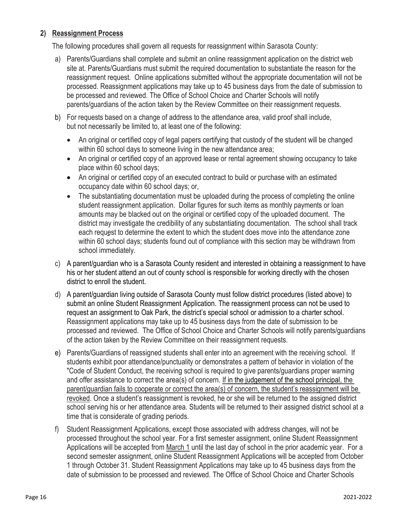### **2) Reassignment Process**

The following procedures shall govern all requests for reassignment within Sarasota County:

- a) Parents/Guardians shall complete and submit an online reassignment application on the district web site at. Parents/Guardians must submit the required documentation to substantiate the reason for the reassignment request. Online applications submitted without the appropriate documentation will not be processed. Reassignment applications may take up to 45 business days from the date of submission to be processed and reviewed. The Office of School Choice and Charter Schools will notify parents/guardians of the action taken by the Review Committee on their reassignment requests.
- b) For requests based on a change of address to the attendance area, valid proof shall include, but not necessarily be limited to, at least one of the following:
	- An original or certified copy of legal papers certifying that custody of the student will be changed within 60 school days to someone living in the new attendance area;
	- An original or certified copy of an approved lease or rental agreement showing occupancy to take place within 60 school days;
	- An original or certified copy of an executed contract to build or purchase with an estimated occupancy date within 60 school days; or,
	- The substantiating documentation must be uploaded during the process of completing the online student reassignment application. Dollar figures for such items as monthly payments or loan amounts may be blacked out on the original or certified copy of the uploaded document. The district may investigate the credibility of any substantiating documentation. The school shall track each request to determine the extent to which the student does move into the attendance zone within 60 school days; students found out of compliance with this section may be withdrawn from school immediately.
- c) A parent/guardian who is a Sarasota County resident and interested in obtaining a reassignment to have his or her student attend an out of county school is responsible for working directly with the chosen district to enroll the student.
- d) A parent/guardian living outside of Sarasota County must follow district procedures (listed above) to submit an online Student Reassignment Application. The reassignment process can not be used to request an assignment to Oak Park, the district's special school or admission to a charter school. Reassignment applications may take up to 45 business days from the date of submission to be processed and reviewed. The Office of School Choice and Charter Schools will notify parents/guardians of the action taken by the Review Committee on their reassignment requests.
- e) Parents/Guardians of reassigned students shall enter into an agreement with the receiving school. If students exhibit poor attendance/punctuality or demonstrates a pattern of behavior in violation of the "Code of Student Conduct, the receiving school is required to give parents/guardians proper warning and offer assistance to correct the area(s) of concern. If in the judgement of the school principal, the parent/guardian fails to cooperate or correct the area(s) of concern, the student's reassignment will be revoked. Once a student's reassignment is revoked, he or she will be returned to the assigned district school serving his or her attendance area. Students will be returned to their assigned district school at a time that is considerate of grading periods.
- f) Student Reassignment Applications, except those associated with address changes, will not be processed throughout the school year. For a first semester assignment, online Student Reassignment Applications will be accepted from March 1 until the last day of school in the prior academic year. For a second semester assignment, online Student Reassignment Applications will be accepted from October 1 through October 31. Student Reassignment Applications may take up to 45 business days from the date of submission to be processed and reviewed. The Office of School Choice and Charter Schools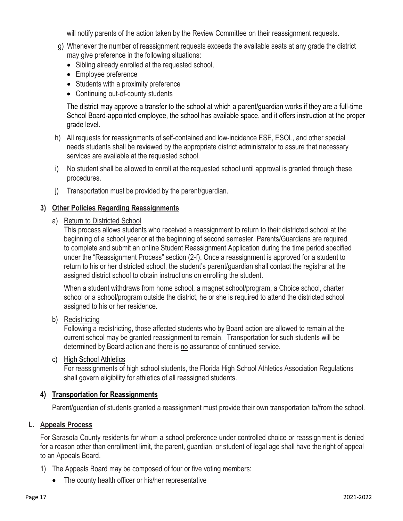will notify parents of the action taken by the Review Committee on their reassignment requests.

- g) Whenever the number of reassignment requests exceeds the available seats at any grade the district may give preference in the following situations:
	- Sibling already enrolled at the requested school,
	- Employee preference
	- Students with a proximity preference
	- Continuing out-of-county students

The district may approve a transfer to the school at which a parent/guardian works if they are a full-time School Board-appointed employee, the school has available space, and it offers instruction at the proper grade level.

- h) All requests for reassignments of self-contained and low-incidence ESE, ESOL, and other special needs students shall be reviewed by the appropriate district administrator to assure that necessary services are available at the requested school.
- i) No student shall be allowed to enroll at the requested school until approval is granted through these procedures.
- j) Transportation must be provided by the parent/guardian.

#### **3) Other Policies Regarding Reassignments**

a) Return to Districted School

This process allows students who received a reassignment to return to their districted school at the beginning of a school year or at the beginning of second semester. Parents/Guardians are required to complete and submit an online Student Reassignment Application during the time period specified under the "Reassignment Process" section (2-f). Once a reassignment is approved for a student to return to his or her districted school, the student's parent/guardian shall contact the registrar at the assigned district school to obtain instructions on enrolling the student.

When a student withdraws from home school, a magnet school/program, a Choice school, charter school or a school/program outside the district, he or she is required to attend the districted school assigned to his or her residence.

#### b) Redistricting

Following a redistricting, those affected students who by Board action are allowed to remain at the current school may be granted reassignment to remain. Transportation for such students will be determined by Board action and there is no assurance of continued service.

#### c) High School Athletics

For reassignments of high school students, the Florida High School Athletics Association Regulations shall govern eligibility for athletics of all reassigned students.

#### **4) Transportation for Reassignments**

Parent/guardian of students granted a reassignment must provide their own transportation to/from the school.

#### **L. Appeals Process**

For Sarasota County residents for whom a school preference under controlled choice or reassignment is denied for a reason other than enrollment limit, the parent, guardian, or student of legal age shall have the right of appeal to an Appeals Board.

- 1) The Appeals Board may be composed of four or five voting members:
	- The county health officer or his/her representative